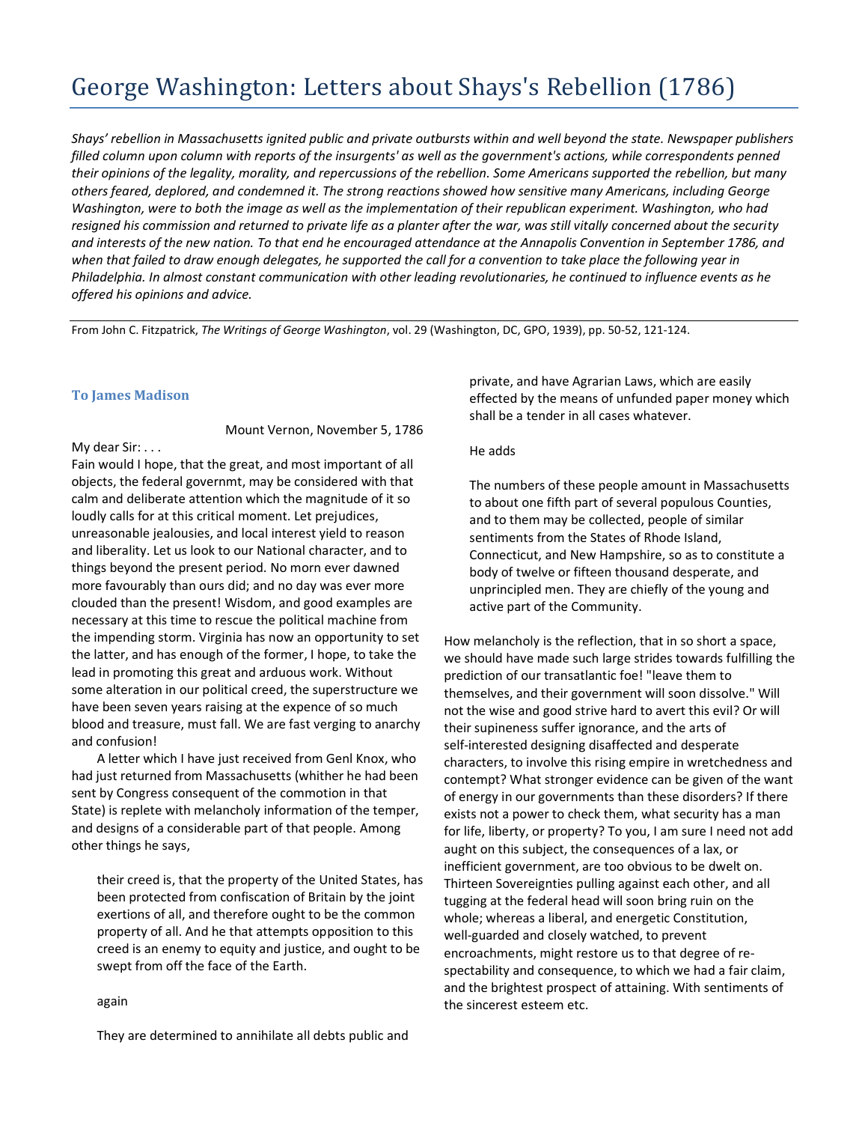# George Washington: Letters about Shays's Rebellion (1786)

*Shays' rebellion in Massachusetts ignited public and private outbursts within and well beyond the state. Newspaper publishers filled column upon column with reports of the insurgents' as well as the government's actions, while correspondents penned their opinions of the legality, morality, and repercussions of the rebellion. Some Americans supported the rebellion, but many others feared, deplored, and condemned it. The strong reactions showed how sensitive many Americans, including George Washington, were to both the image as well as the implementation of their republican experiment. Washington, who had resigned his commission and returned to private life as a planter after the war, was still vitally concerned about the security and interests of the new nation. To that end he encouraged attendance at the Annapolis Convention in September 1786, and when that failed to draw enough delegates, he supported the call for a convention to take place the following year in Philadelphia. In almost constant communication with other leading revolutionaries, he continued to influence events as he offered his opinions and advice.*

From John C. Fitzpatrick, *The Writings of George Washington*, vol. 29 (Washington, DC, GPO, 1939), pp. 50-52, 121-124.

## **To James Madison**

Mount Vernon, November 5, 1786

My dear Sir: . . .

Fain would I hope, that the great, and most important of all objects, the federal governmt, may be considered with that calm and deliberate attention which the magnitude of it so loudly calls for at this critical moment. Let prejudices, unreasonable jealousies, and local interest yield to reason and liberality. Let us look to our National character, and to things beyond the present period. No morn ever dawned more favourably than ours did; and no day was ever more clouded than the present! Wisdom, and good examples are necessary at this time to rescue the political machine from the impending storm. Virginia has now an opportunity to set the latter, and has enough of the former, I hope, to take the lead in promoting this great and arduous work. Without some alteration in our political creed, the superstructure we have been seven years raising at the expence of so much blood and treasure, must fall. We are fast verging to anarchy and confusion!

A letter which I have just received from Genl Knox, who had just returned from Massachusetts (whither he had been sent by Congress consequent of the commotion in that State) is replete with melancholy information of the temper, and designs of a considerable part of that people. Among other things he says,

their creed is, that the property of the United States, has been protected from confiscation of Britain by the joint exertions of all, and therefore ought to be the common property of all. And he that attempts opposition to this creed is an enemy to equity and justice, and ought to be swept from off the face of the Earth.

#### again

They are determined to annihilate all debts public and

private, and have Agrarian Laws, which are easily effected by the means of unfunded paper money which shall be a tender in all cases whatever.

#### He adds

The numbers of these people amount in Massachusetts to about one fifth part of several populous Counties, and to them may be collected, people of similar sentiments from the States of Rhode Island, Connecticut, and New Hampshire, so as to constitute a body of twelve or fifteen thousand desperate, and unprincipled men. They are chiefly of the young and active part of the Community.

How melancholy is the reflection, that in so short a space, we should have made such large strides towards fulfilling the prediction of our transatlantic foe! "leave them to themselves, and their government will soon dissolve." Will not the wise and good strive hard to avert this evil? Or will their supineness suffer ignorance, and the arts of self-interested designing disaffected and desperate characters, to involve this rising empire in wretchedness and contempt? What stronger evidence can be given of the want of energy in our governments than these disorders? If there exists not a power to check them, what security has a man for life, liberty, or property? To you, I am sure I need not add aught on this subject, the consequences of a lax, or inefficient government, are too obvious to be dwelt on. Thirteen Sovereignties pulling against each other, and all tugging at the federal head will soon bring ruin on the whole; whereas a liberal, and energetic Constitution, well-guarded and closely watched, to prevent encroachments, might restore us to that degree of respectability and consequence, to which we had a fair claim, and the brightest prospect of attaining. With sentiments of the sincerest esteem etc.